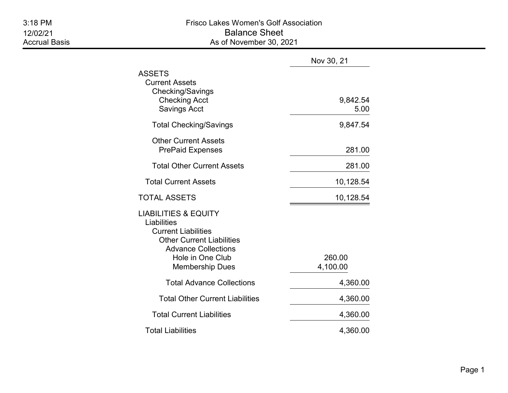|                                                                                                                                                                                              | Nov 30, 21         |
|----------------------------------------------------------------------------------------------------------------------------------------------------------------------------------------------|--------------------|
| <b>ASSETS</b><br><b>Current Assets</b><br>Checking/Savings<br><b>Checking Acct</b><br><b>Savings Acct</b>                                                                                    | 9,842.54<br>5.00   |
| <b>Total Checking/Savings</b>                                                                                                                                                                | 9,847.54           |
| <b>Other Current Assets</b><br><b>PrePaid Expenses</b>                                                                                                                                       | 281.00             |
| <b>Total Other Current Assets</b>                                                                                                                                                            | 281.00             |
| <b>Total Current Assets</b>                                                                                                                                                                  | 10,128.54          |
| TOTAL ASSETS                                                                                                                                                                                 | 10,128.54          |
| <b>LIABILITIES &amp; EQUITY</b><br>Liabilities<br><b>Current Liabilities</b><br><b>Other Current Liabilities</b><br><b>Advance Collections</b><br>Hole in One Club<br><b>Membership Dues</b> | 260.00<br>4,100.00 |
| <b>Total Advance Collections</b>                                                                                                                                                             | 4,360.00           |
| <b>Total Other Current Liabilities</b>                                                                                                                                                       | 4,360.00           |
| <b>Total Current Liabilities</b>                                                                                                                                                             | 4,360.00           |
| <b>Total Liabilities</b>                                                                                                                                                                     | 4,360.00           |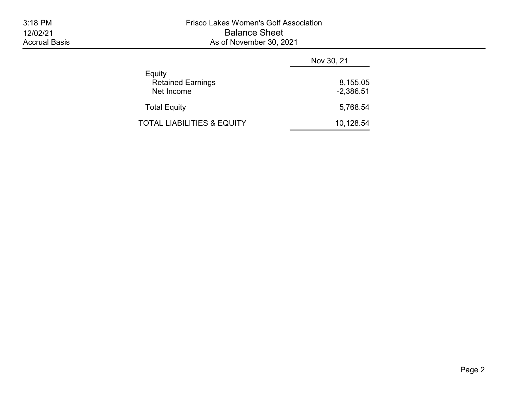|                                                  | Nov 30, 21              |
|--------------------------------------------------|-------------------------|
| Equity<br><b>Retained Earnings</b><br>Net Income | 8,155.05<br>$-2,386.51$ |
| <b>Total Equity</b>                              | 5,768.54                |
| TOTAL LIABILITIES & EQUITY                       | 10,128.54               |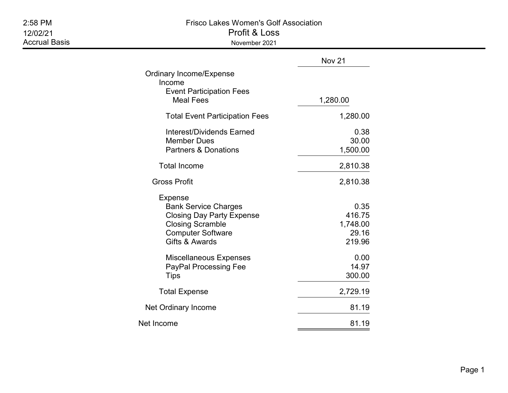| 2:58 PM<br>12/02/21<br><b>Accrual Basis</b> | <b>Frisco Lakes Women's Golf Association</b><br>Profit & Loss<br>November 2021                                                                      |                                               |  |  |  |  |
|---------------------------------------------|-----------------------------------------------------------------------------------------------------------------------------------------------------|-----------------------------------------------|--|--|--|--|
|                                             |                                                                                                                                                     | Nov 21                                        |  |  |  |  |
|                                             | <b>Ordinary Income/Expense</b><br>Income<br><b>Event Participation Fees</b><br><b>Meal Fees</b>                                                     | 1,280.00                                      |  |  |  |  |
|                                             | <b>Total Event Participation Fees</b>                                                                                                               | 1,280.00                                      |  |  |  |  |
|                                             | <b>Interest/Dividends Earned</b><br><b>Member Dues</b><br><b>Partners &amp; Donations</b>                                                           | 0.38<br>30.00<br>1,500.00                     |  |  |  |  |
|                                             | <b>Total Income</b>                                                                                                                                 | 2,810.38                                      |  |  |  |  |
|                                             | <b>Gross Profit</b>                                                                                                                                 | 2,810.38                                      |  |  |  |  |
|                                             | Expense<br><b>Bank Service Charges</b><br><b>Closing Day Party Expense</b><br><b>Closing Scramble</b><br><b>Computer Software</b><br>Gifts & Awards | 0.35<br>416.75<br>1,748.00<br>29.16<br>219.96 |  |  |  |  |
|                                             | Miscellaneous Expenses<br>PayPal Processing Fee<br><b>Tips</b>                                                                                      | 0.00<br>14.97<br>300.00                       |  |  |  |  |
|                                             | <b>Total Expense</b>                                                                                                                                | 2,729.19                                      |  |  |  |  |
|                                             | Net Ordinary Income                                                                                                                                 | 81.19                                         |  |  |  |  |
|                                             | Net Income                                                                                                                                          | 81.19                                         |  |  |  |  |

=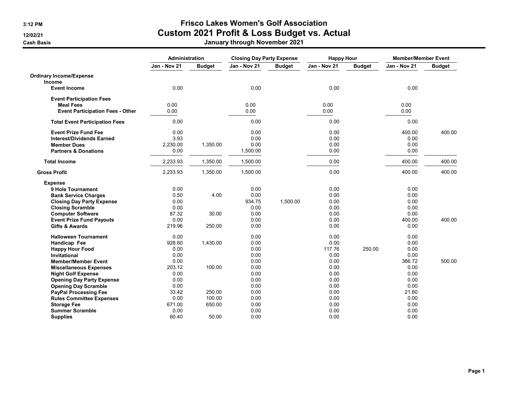# 3:12 PM Frisco Lakes Women's Golf Association 12/02/21 **Custom 2021 Profit & Loss Budget vs. Actual**

Cash Basis January through November 2021

|                                         | <b>Administration</b> |               | <b>Closing Day Party Expense</b> |               | <b>Happy Hour</b> |               | <b>Member/Member Event</b> |               |
|-----------------------------------------|-----------------------|---------------|----------------------------------|---------------|-------------------|---------------|----------------------------|---------------|
|                                         | Jan - Nov 21          | <b>Budget</b> | Jan - Nov 21                     | <b>Budget</b> | Jan - Nov 21      | <b>Budget</b> | Jan - Nov 21               | <b>Budget</b> |
| <b>Ordinary Income/Expense</b>          |                       |               |                                  |               |                   |               |                            |               |
| Income                                  |                       |               |                                  |               |                   |               |                            |               |
| <b>Event Income</b>                     | 0.00                  |               | 0.00                             |               | 0.00              |               | 0.00                       |               |
| <b>Event Participation Fees</b>         |                       |               |                                  |               |                   |               |                            |               |
| <b>Meal Fees</b>                        | 0.00                  |               | 0.00                             |               | 0.00              |               | 0.00                       |               |
| <b>Event Participation Fees - Other</b> | 0.00                  |               | 0.00                             |               | 0.00              |               | 0.00                       |               |
| <b>Total Event Participation Fees</b>   | 0.00                  |               | 0.00                             |               | 0.00              |               | 0.00                       |               |
| <b>Event Prize Fund Fee</b>             | 0.00                  |               | 0.00                             |               | 0.00              |               | 400.00                     | 400.00        |
| <b>Interest/Dividends Earned</b>        | 3.93                  |               | 0.00                             |               | 0.00              |               | 0.00                       |               |
| <b>Member Dues</b>                      | 2,230.00              | 1,350.00      | 0.00                             |               | 0.00              |               | 0.00                       |               |
| <b>Partners &amp; Donations</b>         | 0.00                  |               | 1,500.00                         |               | 0.00              |               | 0.00                       |               |
| <b>Total Income</b>                     | 2,233.93              | 1,350.00      | 1,500.00                         |               | 0.00              |               | 400.00                     | 400.00        |
| <b>Gross Profit</b>                     | 2,233.93              | 1,350.00      | 1,500.00                         |               | 0.00              |               | 400.00                     | 400.00        |
| <b>Expense</b>                          |                       |               |                                  |               |                   |               |                            |               |
| 9 Hole Tournament                       | 0.00                  |               | 0.00                             |               | 0.00              |               | 0.00                       |               |
| <b>Bank Service Charges</b>             | 0.50                  | 4.00          | 0.00                             |               | 0.00              |               | 0.00                       |               |
| <b>Closing Day Party Expense</b>        | 0.00                  |               | 934.75                           | 1.500.00      | 0.00              |               | 0.00                       |               |
| <b>Closing Scramble</b>                 | 0.00                  |               | 0.00                             |               | 0.00              |               | 0.00                       |               |
| <b>Computer Software</b>                | 87.32                 | 30.00         | 0.00                             |               | 0.00              |               | 0.00                       |               |
| <b>Event Prize Fund Payouts</b>         | 0.00                  |               | 0.00                             |               | 0.00              |               | 400.00                     | 400.00        |
| <b>Gifts &amp; Awards</b>               | 219.96                | 250.00        | 0.00                             |               | 0.00              |               | 0.00                       |               |
| <b>Halloween Tournament</b>             | 0.00                  |               | 0.00                             |               | 0.00              |               | 0.00                       |               |
| Handicap Fee                            | 928.60                | 1,430.00      | 0.00                             |               | 0.00              |               | 0.00                       |               |
| <b>Happy Hour Food</b>                  | 0.00                  |               | 0.00                             |               | 117.76            | 250.00        | 0.00                       |               |
| Invitational                            | 0.00                  |               | 0.00                             |               | 0.00              |               | 0.00                       |               |
| <b>Member/Member Event</b>              | 0.00                  |               | 0.00                             |               | 0.00              |               | 386.72                     | 500.00        |
| <b>Miscellaneous Expenses</b>           | 203.12                | 100.00        | 0.00                             |               | 0.00              |               | 0.00                       |               |
| <b>Night Golf Expense</b>               | 0.00                  |               | 0.00                             |               | 0.00              |               | 0.00                       |               |
| <b>Opening Day Party Expense</b>        | 0.00                  |               | 0.00                             |               | 0.00              |               | 0.00                       |               |
| <b>Opening Day Scramble</b>             | 0.00                  |               | 0.00                             |               | 0.00              |               | 0.00                       |               |
| PayPal Processing Fee                   | 33.42                 | 250.00        | 0.00                             |               | 0.00              |               | 21.60                      |               |
| <b>Rules Committee Expenses</b>         | 0.00                  | 100.00        | 0.00                             |               | 0.00              |               | 0.00                       |               |
| <b>Storage Fee</b>                      | 671.00                | 650.00        | 0.00                             |               | 0.00              |               | 0.00                       |               |
| <b>Summer Scramble</b>                  | 0.00                  |               | 0.00                             |               | 0.00              |               | 0.00                       |               |
| <b>Supplies</b>                         | 60.40                 | 50.00         | 0.00                             |               | 0.00              |               | 0.00                       |               |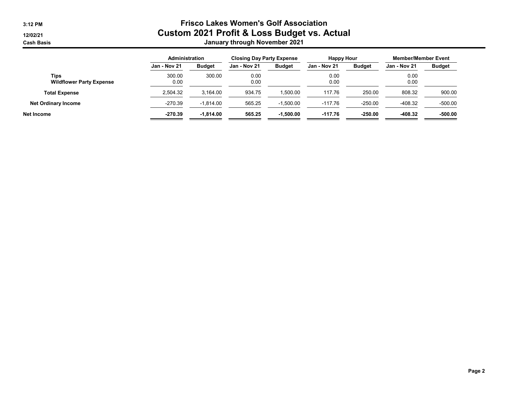## 3:12 PM Frisco Lakes Women's Golf Association 12/02/21 **Custom 2021 Profit & Loss Budget vs. Actual** Cash Basis January through November 2021

|                                         | Administration |               | <b>Closing Day Party Expense</b> |               | <b>Happy Hour</b> |               | <b>Member/Member Event</b> |               |
|-----------------------------------------|----------------|---------------|----------------------------------|---------------|-------------------|---------------|----------------------------|---------------|
|                                         | Jan - Nov 21   | <b>Budget</b> | Jan - Nov 21                     | <b>Budget</b> | Jan - Nov 21      | <b>Budget</b> | Jan - Nov 21               | <b>Budget</b> |
| Tips<br><b>Wildflower Party Expense</b> | 300.00<br>0.00 | 300.00        | 0.00<br>0.00                     |               | 0.00<br>0.00      |               | 0.00<br>0.00               |               |
| <b>Total Expense</b>                    | 2,504.32       | 3,164.00      | 934.75                           | 1,500.00      | 117.76            | 250.00        | 808.32                     | 900.00        |
| <b>Net Ordinary Income</b>              | $-270.39$      | $-1.814.00$   | 565.25                           | $-1,500.00$   | $-117.76$         | $-250.00$     | $-408.32$                  | $-500.00$     |
| Net Income                              | $-270.39$      | $-1.814.00$   | 565.25                           | $-1.500.00$   | $-117.76$         | $-250.00$     | $-408.32$                  | $-500.00$     |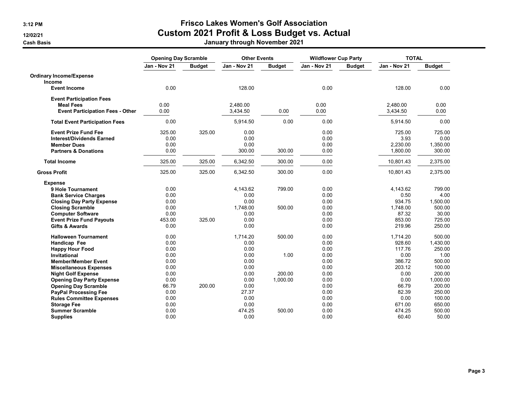## 3:12 PM Frisco Lakes Women's Golf Association 12/02/21 **Custom 2021 Profit & Loss Budget vs. Actual**

Cash Basis January through November 2021

|                                         | <b>Opening Day Scramble</b> |               | <b>Other Events</b> |               | <b>Wildflower Cup Party</b> |               | <b>TOTAL</b> |               |
|-----------------------------------------|-----------------------------|---------------|---------------------|---------------|-----------------------------|---------------|--------------|---------------|
|                                         | Jan - Nov 21                | <b>Budget</b> | Jan - Nov 21        | <b>Budget</b> | Jan - Nov 21                | <b>Budget</b> | Jan - Nov 21 | <b>Budget</b> |
| <b>Ordinary Income/Expense</b>          |                             |               |                     |               |                             |               |              |               |
| Income                                  |                             |               |                     |               |                             |               |              |               |
| <b>Event Income</b>                     | 0.00                        |               | 128.00              |               | 0.00                        |               | 128.00       | 0.00          |
| <b>Event Participation Fees</b>         |                             |               |                     |               |                             |               |              |               |
| <b>Meal Fees</b>                        | 0.00                        |               | 2,480.00            |               | 0.00                        |               | 2,480.00     | 0.00          |
| <b>Event Participation Fees - Other</b> | 0.00                        |               | 3,434.50            | 0.00          | 0.00                        |               | 3,434.50     | 0.00          |
| <b>Total Event Participation Fees</b>   | 0.00                        |               | 5,914.50            | 0.00          | 0.00                        |               | 5,914.50     | 0.00          |
| <b>Event Prize Fund Fee</b>             | 325.00                      | 325.00        | 0.00                |               | 0.00                        |               | 725.00       | 725.00        |
| <b>Interest/Dividends Earned</b>        | 0.00                        |               | 0.00                |               | 0.00                        |               | 3.93         | 0.00          |
| <b>Member Dues</b>                      | 0.00                        |               | 0.00                |               | 0.00                        |               | 2,230.00     | 1,350.00      |
| <b>Partners &amp; Donations</b>         | 0.00                        |               | 300.00              | 300.00        | 0.00                        |               | 1,800.00     | 300.00        |
| <b>Total Income</b>                     | 325.00                      | 325.00        | 6,342.50            | 300.00        | 0.00                        |               | 10,801.43    | 2,375.00      |
| <b>Gross Profit</b>                     | 325.00                      | 325.00        | 6,342.50            | 300.00        | 0.00                        |               | 10,801.43    | 2,375.00      |
| <b>Expense</b>                          |                             |               |                     |               |                             |               |              |               |
| 9 Hole Tournament                       | 0.00                        |               | 4,143.62            | 799.00        | 0.00                        |               | 4,143.62     | 799.00        |
| <b>Bank Service Charges</b>             | 0.00                        |               | 0.00                |               | 0.00                        |               | 0.50         | 4.00          |
| <b>Closing Day Party Expense</b>        | 0.00                        |               | 0.00                |               | 0.00                        |               | 934.75       | 1,500.00      |
| <b>Closing Scramble</b>                 | 0.00                        |               | 1,748.00            | 500.00        | 0.00                        |               | 1,748.00     | 500.00        |
| <b>Computer Software</b>                | 0.00                        |               | 0.00                |               | 0.00                        |               | 87.32        | 30.00         |
| <b>Event Prize Fund Payouts</b>         | 453.00                      | 325.00        | 0.00                |               | 0.00                        |               | 853.00       | 725.00        |
| <b>Gifts &amp; Awards</b>               | 0.00                        |               | 0.00                |               | 0.00                        |               | 219.96       | 250.00        |
| <b>Halloween Tournament</b>             | 0.00                        |               | 1,714.20            | 500.00        | 0.00                        |               | 1,714.20     | 500.00        |
| Handicap Fee                            | 0.00                        |               | 0.00                |               | 0.00                        |               | 928.60       | 1,430.00      |
| <b>Happy Hour Food</b>                  | 0.00                        |               | 0.00                |               | 0.00                        |               | 117.76       | 250.00        |
| <b>Invitational</b>                     | 0.00                        |               | 0.00                | 1.00          | 0.00                        |               | 0.00         | 1.00          |
| <b>Member/Member Event</b>              | 0.00                        |               | 0.00                |               | 0.00                        |               | 386.72       | 500.00        |
| <b>Miscellaneous Expenses</b>           | 0.00                        |               | 0.00                |               | 0.00                        |               | 203.12       | 100.00        |
| <b>Night Golf Expense</b>               | 0.00                        |               | 0.00                | 200.00        | 0.00                        |               | 0.00         | 200.00        |
| <b>Opening Day Party Expense</b>        | 0.00                        |               | 0.00                | 1,000.00      | 0.00                        |               | 0.00         | 1,000.00      |
| <b>Opening Day Scramble</b>             | 66.79                       | 200.00        | 0.00                |               | 0.00                        |               | 66.79        | 200.00        |
| <b>PayPal Processing Fee</b>            | 0.00                        |               | 27.37               |               | 0.00                        |               | 82.39        | 250.00        |
| <b>Rules Committee Expenses</b>         | 0.00                        |               | 0.00                |               | 0.00                        |               | 0.00         | 100.00        |
| <b>Storage Fee</b>                      | 0.00                        |               | 0.00                |               | 0.00                        |               | 671.00       | 650.00        |
| <b>Summer Scramble</b>                  | 0.00                        |               | 474.25              | 500.00        | 0.00                        |               | 474.25       | 500.00        |
| <b>Supplies</b>                         | 0.00                        |               | 0.00                |               | 0.00                        |               | 60.40        | 50.00         |